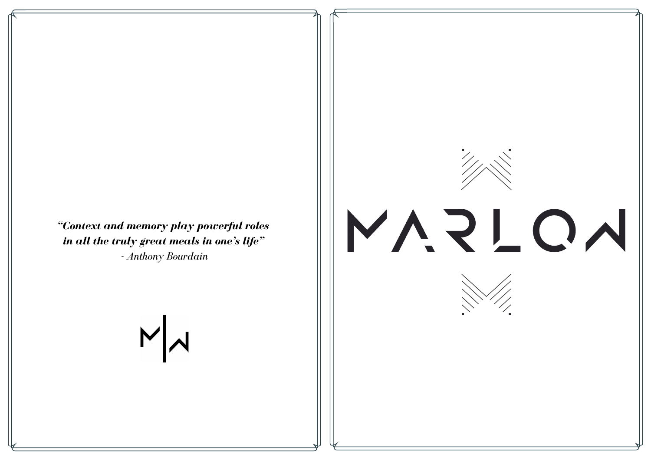*"Context and memory play powerful roles in all the truly great meals in one's life"*

*- Anthony Bourdain*

# MN

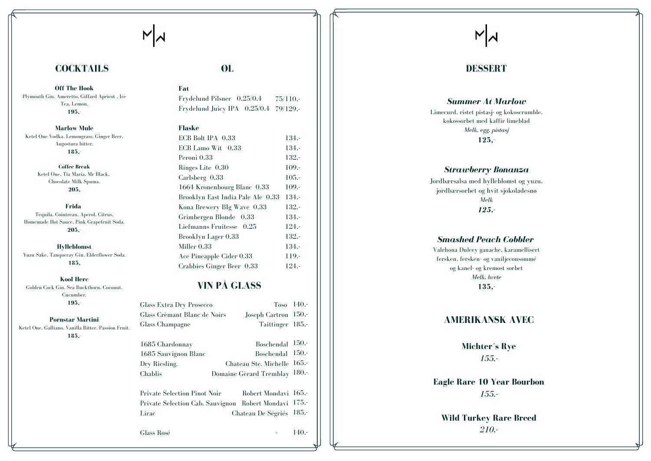**F a t**

 $N|\lambda|$ 

#### **F l a s k e**

### **Ø L**

Frydelund Pilsner 0,25/0,4 Frydelund Juicy IPA 0,25/0,4 79/129,-7 5 / 1 1 0 , -

| ECB Bolt IPA 0,33                 | $134. -$ |
|-----------------------------------|----------|
| ECB Lamo Wit 0,33                 | $134 -$  |
| Peroni 0,33                       | $132 -$  |
| Ringes Lite 0.30                  | $109. -$ |
| Carlsberg $0,33$                  | $105 -$  |
| 1664 Kronenbourg Blanc 0,33       | $109. -$ |
| Brooklyn East India Pale Ale 0,33 | $134,-$  |
| Kona Brewery BIg Wave 0,33        | $132 -$  |
| Grimbergen Blonde 0,33            | $134 -$  |
| Liefmanns Fruitesse 0,25          | $124 -$  |
| Brooklyn Lager 0,33               | $132 -$  |
| Miller 0,33                       | $134 -$  |
| Ace Pineapple Cider 0.33          | $119. -$ |
| Crabbies Ginger Beer 0,33         | $124 -$  |

### **VIN PÅ GLASS**

### **COCKTAILS**

**Off The Hook** Plymouth Gin, Ameretto, Giffard Apricot, Ice Tea, Lemon. **195,-**

**Marlow Mule** Ketel One Vodka, Lemongrass, Ginger Beer, Angostura bitter. **185,-**

**Hylleblomst** Yuzu Sake, Tanqueray Gin, Elderflower Soda. **185,**

| <b>Glass Extra Dry Prosecco</b><br>Glass Crèmant Blanc de Noirs<br>Glass Champagne             | $T$ <sub>0</sub> s <sub>0</sub> 14 <sup>0</sup> <sub>.</sub><br>Joseph Cartron 150,-<br>Taittinger 185,- |                      |
|------------------------------------------------------------------------------------------------|----------------------------------------------------------------------------------------------------------|----------------------|
| 1685 Chardonnay<br>1685 Sauvignon Blanc<br>Dry Riesling.<br>Chablis                            | Boschendal<br><b>Boschendal</b><br>Chateau Ste. Michelle<br>Domaine Gèrard Tremblay 180,-                | 150.<br>150.<br>165. |
| Private Selection Pinot Noir<br>Private Selection Cab. Sauvignon Robert Mondavi 175,-<br>Lirac | Robert Mondavi 165,-<br>Chateau De Ségriés                                                               | 185.                 |

Glass Rosé

**Kool** Herc Golden Cock Gin, Sea Buckthorn, Coconut, Cucumber. **195,-**

**Pornstar Martini** Ketel One, Galliano, Vanilla Bitter, Passion Fruit.

-

## $N$

### **DESSERT**

### *Summer At Marlow*

Limecurd, ristet pistasj- og kokoscrumble, kokossorbet med kaffir limeblad *Me l k , egg, p i s t a sj* **1 2 5 , -**

### *strawberry Bonanza*

Jordbærsalsa med hylleblomst og yuzu, jordbærsorbet og hvit sjokoladesnø *Me l k 1 2 5 , -*

#### *Smashed Peach Cobbler*

Valrhona Dulcey ganache, karamellisert fersken, fersken- og vaniljeconsommé og kanel- og kremost sorbet *Melk, hvete* **1 3 5 , -**

### AMERIKANSK AVEC

1 4 0 , -

Michter's Rye *1 5 5, -*

**Eagle Rare 10 Year Bourbon** *1 5 5, -*

Wild Turkey Rare Breed *2 1 0 , -*

**C o f f e e B r e a k** Ketel One, Tia Maria, Mr Black, Chocolate Milk Spuma. **205,**

**Frida** Tequila, Cointreau, Aperol, Citrus, Homemade Hot Sauce, Pink Grapefruit Soda. **205,-**

**185,-**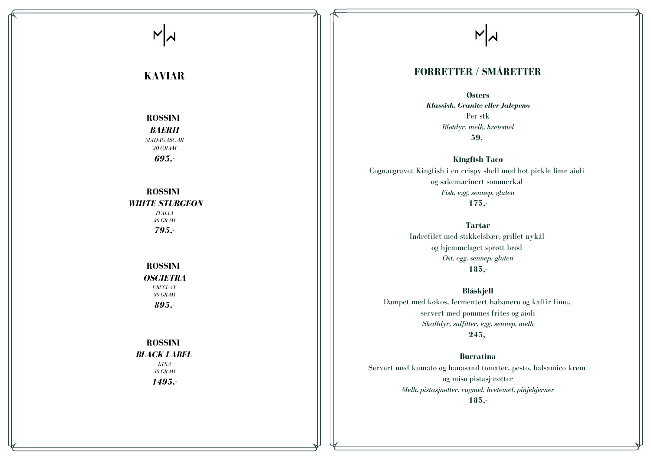**Østers** *Kl a ss is k, Gr a n i t e e l le r Ja lep e n o* Per stk *Blotdyr*, *melk*, *hvetemel* **5 9 , -**

**Kingfish Taco** Cognacgravet Kingfish i en crispy shell med hot pickle lime aioli og sakemarinert sommerkål *Fisk, egg, sennep, gluten* **1 7 5 , -**

> **T a r t a r** Indrefilet med stikkelsbær, grillet nykål og hjemmelaget sprøtt brød Ost, egg, sennep, gluten **1 8 5 , -**

**Burratina** Servert med kumato og hanasand tomater, pesto, balsamico krem og miso pistasj-nøtter Melk, pistasjnøtter, rugmel, hvetemel, pinjekjerner **1 8 5 , -**

### *BLACK LABEL KINA 5 0 GRA M*

**B l å s kj e l l** Dampet med kokos, fermentert habanero og kaffir lime, servert med pommes frites og aioli Skalldyr, sulfitter, egg, sennep, melk **2 4 5 , -**

## $N$

### **K A V I A R**

### **R O S S I N I**

*BA ER II MADAGASCAR 3 0 GRA M 6 9 5 , -*

### **R O S S I N I**

*WHITE STURGEON* 

*I TA L IA 3 0 GRA M 7 9 5 , -*

### **R O S S I N I**

*OS CIE TR A UR UGUA Y 3 0 GRA M*

*8 9 5 , -*

### **R O S S I N I**

*1 4 9 5 , -*

## $N$

### **FORRETTER / SMÅRETTER**